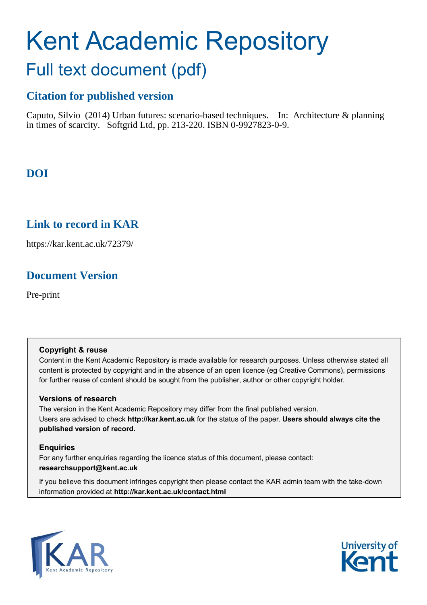# Kent Academic Repository Full text document (pdf)

# **Citation for published version**

Caputo, Silvio (2014) Urban futures: scenario-based techniques. In: Architecture & planning in times of scarcity. Softgrid Ltd, pp. 213-220. ISBN 0-9927823-0-9.

# **DOI**

## **Link to record in KAR**

https://kar.kent.ac.uk/72379/

## **Document Version**

Pre-print

## **Copyright & reuse**

Content in the Kent Academic Repository is made available for research purposes. Unless otherwise stated all content is protected by copyright and in the absence of an open licence (eg Creative Commons), permissions for further reuse of content should be sought from the publisher, author or other copyright holder.

## **Versions of research**

The version in the Kent Academic Repository may differ from the final published version. Users are advised to check **http://kar.kent.ac.uk** for the status of the paper. **Users should always cite the published version of record.**

## **Enquiries**

For any further enquiries regarding the licence status of this document, please contact: **researchsupport@kent.ac.uk**

If you believe this document infringes copyright then please contact the KAR admin team with the take-down information provided at **http://kar.kent.ac.uk/contact.html**



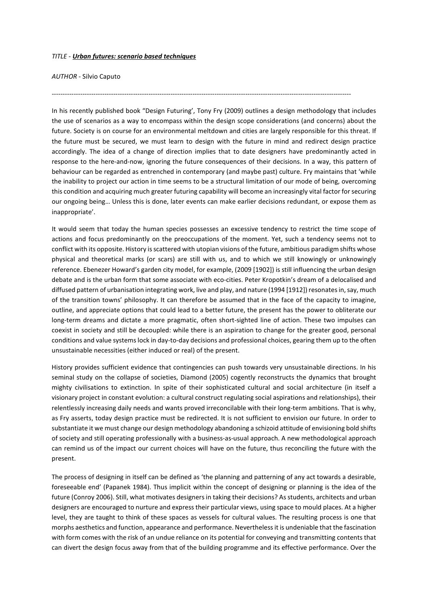#### *TITLE - Urban futures: scenario based techniques*

*AUTHOR -* Silvio Caputo

In his recently published book "Design Futuring', Tony Fry (2009) outlines a design methodology that includes the use of scenarios as a way to encompass within the design scope considerations (and concerns) about the future. Society is on course for an environmental meltdown and cities are largely responsible for this threat. If the future must be secured, we must learn to design with the future in mind and redirect design practice accordingly. The idea of a change of direction implies that to date designers have predominantly acted in response to the here-and-now, ignoring the future consequences of their decisions. In a way, this pattern of behaviour can be regarded as entrenched in contemporary (and maybe past) culture. Fry maintains that 'while the inability to project our action in time seems to be a structural limitation of our mode of being, overcoming this condition and acquiring much greater futuring capability will become an increasingly vital factor for securing our ongoing being… Unless this is done, later events can make earlier decisions redundant, or expose them as inappropriate'.

----------------------------------------------------------------------------------------------------------------------------------------

It would seem that today the human species possesses an excessive tendency to restrict the time scope of actions and focus predominantly on the preoccupations of the moment. Yet, such a tendency seems not to conflict with its opposite. History is scattered with utopian visions of the future, ambitious paradigm shifts whose physical and theoretical marks (or scars) are still with us, and to which we still knowingly or unknowingly reference. Ebenezer Howard's garden city model, for example, (2009 [1902]) is still influencing the urban design debate and is the urban form that some associate with eco-cities. Peter Kropotkin's dream of a delocalised and diffused pattern of urbanisation integrating work, live and play, and nature (1994 [1912]) resonates in, say, much of the transition towns' philosophy. It can therefore be assumed that in the face of the capacity to imagine, outline, and appreciate options that could lead to a better future, the present has the power to obliterate our long-term dreams and dictate a more pragmatic, often short-sighted line of action. These two impulses can coexist in society and still be decoupled: while there is an aspiration to change for the greater good, personal conditions and value systems lock in day-to-day decisions and professional choices, gearing them up to the often unsustainable necessities (either induced or real) of the present.

History provides sufficient evidence that contingencies can push towards very unsustainable directions. In his seminal study on the collapse of societies, Diamond (2005) cogently reconstructs the dynamics that brought mighty civilisations to extinction. In spite of their sophisticated cultural and social architecture (in itself a visionary project in constant evolution: a cultural construct regulating social aspirations and relationships), their relentlessly increasing daily needs and wants proved irreconcilable with their long-term ambitions. That is why, as Fry asserts, today design practice must be redirected. It is not sufficient to envision our future. In order to substantiate it we must change our design methodology abandoning a schizoid attitude of envisioning bold shifts of society and still operating professionally with a business-as-usual approach. A new methodological approach can remind us of the impact our current choices will have on the future, thus reconciling the future with the present.

The process of designing in itself can be defined as 'the planning and patterning of any act towards a desirable, foreseeable end' (Papanek 1984). Thus implicit within the concept of designing or planning is the idea of the future (Conroy 2006). Still, what motivates designers in taking their decisions? As students, architects and urban designers are encouraged to nurture and express their particular views, using space to mould places. At a higher level, they are taught to think of these spaces as vessels for cultural values. The resulting process is one that morphs aesthetics and function, appearance and performance. Nevertheless it is undeniable that the fascination with form comes with the risk of an undue reliance on its potential for conveying and transmitting contents that can divert the design focus away from that of the building programme and its effective performance. Over the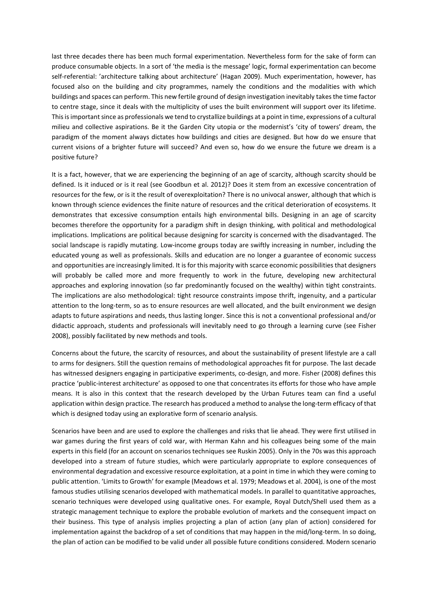last three decades there has been much formal experimentation. Nevertheless form for the sake of form can produce consumable objects. In a sort of 'the media is the message' logic, formal experimentation can become self-referential: 'architecture talking about architecture' (Hagan 2009). Much experimentation, however, has focused also on the building and city programmes, namely the conditions and the modalities with which buildings and spaces can perform. This new fertile ground of design investigation inevitably takes the time factor to centre stage, since it deals with the multiplicity of uses the built environment will support over its lifetime. This is important since as professionals we tend to crystallize buildings at a point in time, expressions of a cultural milieu and collective aspirations. Be it the Garden City utopia or the modernist's 'city of towers' dream, the paradigm of the moment always dictates how buildings and cities are designed. But how do we ensure that current visions of a brighter future will succeed? And even so, how do we ensure the future we dream is a positive future?

It is a fact, however, that we are experiencing the beginning of an age of scarcity, although scarcity should be defined. Is it induced or is it real (see Goodbun et al. 2012)? Does it stem from an excessive concentration of resources for the few, or is it the result of overexploitation? There is no univocal answer, although that which is known through science evidences the finite nature of resources and the critical deterioration of ecosystems. It demonstrates that excessive consumption entails high environmental bills. Designing in an age of scarcity becomes therefore the opportunity for a paradigm shift in design thinking, with political and methodological implications. Implications are political because designing for scarcity is concerned with the disadvantaged. The social landscape is rapidly mutating. Low-income groups today are swiftly increasing in number, including the educated young as well as professionals. Skills and education are no longer a guarantee of economic success and opportunities are increasingly limited. It is for this majority with scarce economic possibilities that designers will probably be called more and more frequently to work in the future, developing new architectural approaches and exploring innovation (so far predominantly focused on the wealthy) within tight constraints. The implications are also methodological: tight resource constraints impose thrift, ingenuity, and a particular attention to the long-term, so as to ensure resources are well allocated, and the built environment we design adapts to future aspirations and needs, thus lasting longer. Since this is not a conventional professional and/or didactic approach, students and professionals will inevitably need to go through a learning curve (see Fisher 2008), possibly facilitated by new methods and tools.

Concerns about the future, the scarcity of resources, and about the sustainability of present lifestyle are a call to arms for designers. Still the question remains of methodological approaches fit for purpose. The last decade has witnessed designers engaging in participative experiments, co-design, and more. Fisher (2008) defines this practice 'public-interest architecture' as opposed to one that concentrates its efforts for those who have ample means. It is also in this context that the research developed by the Urban Futures team can find a useful application within design practice. The research has produced a method to analyse the long-term efficacy of that which is designed today using an explorative form of scenario analysis.

Scenarios have been and are used to explore the challenges and risks that lie ahead. They were first utilised in war games during the first years of cold war, with Herman Kahn and his colleagues being some of the main experts in this field (for an account on scenarios techniques see Ruskin 2005). Only in the 70s was this approach developed into a stream of future studies, which were particularly appropriate to explore consequences of environmental degradation and excessive resource exploitation, at a point in time in which they were coming to public attention. 'Limits to Growth' for example (Meadows et al. 1979; Meadows et al. 2004), is one of the most famous studies utilising scenarios developed with mathematical models. In parallel to quantitative approaches, scenario techniques were developed using qualitative ones. For example, Royal Dutch/Shell used them as a strategic management technique to explore the probable evolution of markets and the consequent impact on their business. This type of analysis implies projecting a plan of action (any plan of action) considered for implementation against the backdrop of a set of conditions that may happen in the mid/long-term. In so doing, the plan of action can be modified to be valid under all possible future conditions considered. Modern scenario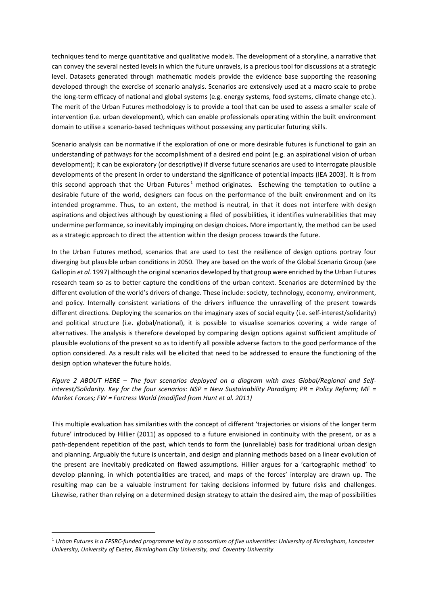techniques tend to merge quantitative and qualitative models. The development of a storyline, a narrative that can convey the several nested levels in which the future unravels, is a precious tool for discussions at a strategic level. Datasets generated through mathematic models provide the evidence base supporting the reasoning developed through the exercise of scenario analysis. Scenarios are extensively used at a macro scale to probe the long-term efficacy of national and global systems (e.g. energy systems, food systems, climate change etc.). The merit of the Urban Futures methodology is to provide a tool that can be used to assess a smaller scale of intervention (i.e. urban development), which can enable professionals operating within the built environment domain to utilise a scenario-based techniques without possessing any particular futuring skills.

Scenario analysis can be normative if the exploration of one or more desirable futures is functional to gain an understanding of pathways for the accomplishment of a desired end point (e.g. an aspirational vision of urban development); it can be exploratory (or descriptive) if diverse future scenarios are used to interrogate plausible developments of the present in order to understand the significance of potential impacts (IEA 2003). It is from this second approach that the Urban Futures<sup>[1](#page--1-0)</sup> method originates. Eschewing the temptation to outline a desirable future of the world, designers can focus on the performance of the built environment and on its intended programme. Thus, to an extent, the method is neutral, in that it does not interfere with design aspirations and objectives although by questioning a filed of possibilities, it identifies vulnerabilities that may undermine performance, so inevitably impinging on design choices. More importantly, the method can be used as a strategic approach to direct the attention within the design process towards the future.

In the Urban Futures method, scenarios that are used to test the resilience of design options portray four diverging but plausible urban conditions in 2050. They are based on the work of the Global Scenario Group (see Gallopin *et al.* 1997) although the original scenarios developed by that group were enriched by the Urban Futures research team so as to better capture the conditions of the urban context. Scenarios are determined by the different evolution of the world's drivers of change. These include: society, technology, economy, environment, and policy. Internally consistent variations of the drivers influence the unravelling of the present towards different directions. Deploying the scenarios on the imaginary axes of social equity (i.e. self-interest/solidarity) and political structure (i.e. global/national), it is possible to visualise scenarios covering a wide range of alternatives. The analysis is therefore developed by comparing design options against sufficient amplitude of plausible evolutions of the present so as to identify all possible adverse factors to the good performance of the option considered. As a result risks will be elicited that need to be addressed to ensure the functioning of the design option whatever the future holds.

*Figure 2 ABOUT HERE – The four scenarios deployed on a diagram with axes Global/Regional and Selfinterest/Solidarity. Key for the four scenarios: NSP = New Sustainability Paradigm; PR = Policy Reform; MF = Market Forces; FW = Fortress World (modified from Hunt et al. 2011)*

This multiple evaluation has similarities with the concept of different 'trajectories or visions of the longer term future' introduced by Hillier (2011) as opposed to a future envisioned in continuity with the present, or as a path-dependent repetition of the past, which tends to form the (unreliable) basis for traditional urban design and planning. Arguably the future is uncertain, and design and planning methods based on a linear evolution of the present are inevitably predicated on flawed assumptions. Hillier argues for a 'cartographic method' to develop planning, in which potentialities are traced, and maps of the forces' interplay are drawn up. The resulting map can be a valuable instrument for taking decisions informed by future risks and challenges. Likewise, rather than relying on a determined design strategy to attain the desired aim, the map of possibilities

 <sup>1</sup> *Urban Futures is a EPSRC-funded programme led by a consortium of five universities: University of Birmingham, Lancaster University, University of Exeter, Birmingham City University, and Coventry University*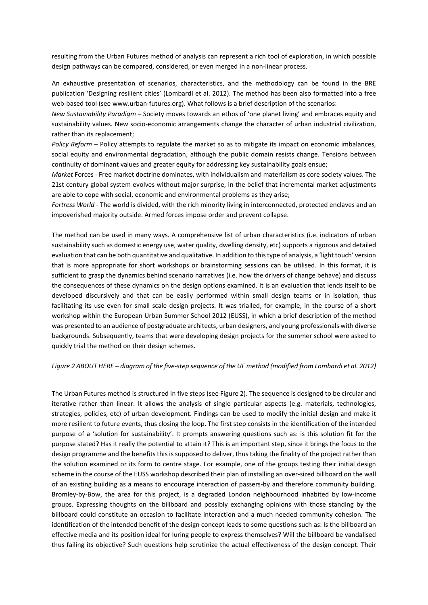resulting from the Urban Futures method of analysis can represent a rich tool of exploration, in which possible design pathways can be compared, considered, or even merged in a non-linear process.

An exhaustive presentation of scenarios, characteristics, and the methodology can be found in the BRE publication 'Designing resilient cities' (Lombardi et al. 2012). The method has been also formatted into a free web-based tool (see www.urban-futures.org). What follows is a brief description of the scenarios:

*New Sustainability Paradigm* – Society moves towards an ethos of 'one planet living' and embraces equity and sustainability values. New socio-economic arrangements change the character of urban industrial civilization, rather than its replacement;

*Policy Reform* – Policy attempts to regulate the market so as to mitigate its impact on economic imbalances, social equity and environmental degradation, although the public domain resists change. Tensions between continuity of dominant values and greater equity for addressing key sustainability goals ensue;

*Market* Forces - Free market doctrine dominates, with individualism and materialism as core society values. The 21st century global system evolves without major surprise, in the belief that incremental market adjustments are able to cope with social, economic and environmental problems as they arise;

*Fortress World* - The world is divided, with the rich minority living in interconnected, protected enclaves and an impoverished majority outside. Armed forces impose order and prevent collapse.

The method can be used in many ways. A comprehensive list of urban characteristics (i.e. indicators of urban sustainability such as domestic energy use, water quality, dwelling density, etc) supports a rigorous and detailed evaluation that can be both quantitative and qualitative. In addition to this type of analysis, a 'light touch' version that is more appropriate for short workshops or brainstorming sessions can be utilised. In this format, it is sufficient to grasp the dynamics behind scenario narratives (i.e. how the drivers of change behave) and discuss the consequences of these dynamics on the design options examined. It is an evaluation that lends itself to be developed discursively and that can be easily performed within small design teams or in isolation, thus facilitating its use even for small scale design projects. It was trialled, for example, in the course of a short workshop within the European Urban Summer School 2012 (EUSS), in which a brief description of the method was presented to an audience of postgraduate architects, urban designers, and young professionals with diverse backgrounds. Subsequently, teams that were developing design projects for the summer school were asked to quickly trial the method on their design schemes.

#### *Figure 2 ABOUT HERE – diagram of the five-step sequence of the UF method (modified from Lombardi et al. 2012)*

The Urban Futures method is structured in five steps (see Figure 2). The sequence is designed to be circular and iterative rather than linear. It allows the analysis of single particular aspects (e.g. materials, technologies, strategies, policies, etc) of urban development. Findings can be used to modify the initial design and make it more resilient to future events, thus closing the loop. The first step consists in the identification of the intended purpose of a 'solution for sustainability'. It prompts answering questions such as: is this solution fit for the purpose stated? Has it really the potential to attain it? This is an important step, since it brings the focus to the design programme and the benefits this is supposed to deliver, thus taking the finality of the project rather than the solution examined or its form to centre stage. For example, one of the groups testing their initial design scheme in the course of the EUSS workshop described their plan of installing an over-sized billboard on the wall of an existing building as a means to encourage interaction of passers-by and therefore community building. Bromley-by-Bow, the area for this project, is a degraded London neighbourhood inhabited by low-income groups. Expressing thoughts on the billboard and possibly exchanging opinions with those standing by the billboard could constitute an occasion to facilitate interaction and a much needed community cohesion. The identification of the intended benefit of the design concept leads to some questions such as: Is the billboard an effective media and its position ideal for luring people to express themselves? Will the billboard be vandalised thus failing its objective? Such questions help scrutinize the actual effectiveness of the design concept. Their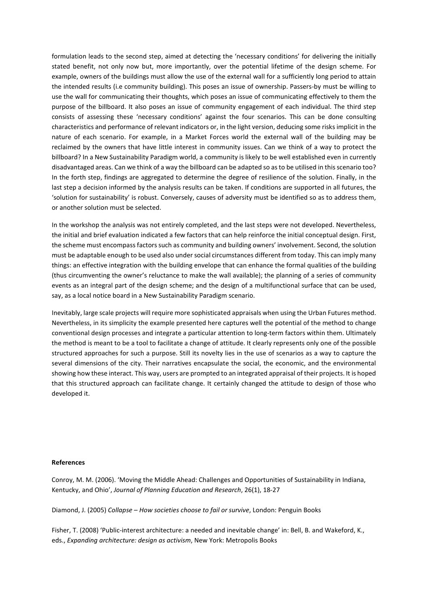formulation leads to the second step, aimed at detecting the 'necessary conditions' for delivering the initially stated benefit, not only now but, more importantly, over the potential lifetime of the design scheme. For example, owners of the buildings must allow the use of the external wall for a sufficiently long period to attain the intended results (i.e community building). This poses an issue of ownership. Passers-by must be willing to use the wall for communicating their thoughts, which poses an issue of communicating effectively to them the purpose of the billboard. It also poses an issue of community engagement of each individual. The third step consists of assessing these 'necessary conditions' against the four scenarios. This can be done consulting characteristics and performance of relevant indicators or, in the light version, deducing some risks implicit in the nature of each scenario. For example, in a Market Forces world the external wall of the building may be reclaimed by the owners that have little interest in community issues. Can we think of a way to protect the billboard? In a New Sustainability Paradigm world, a community is likely to be well established even in currently disadvantaged areas. Can we think of a way the billboard can be adapted so as to be utilised in this scenario too? In the forth step, findings are aggregated to determine the degree of resilience of the solution. Finally, in the last step a decision informed by the analysis results can be taken. If conditions are supported in all futures, the 'solution for sustainability' is robust. Conversely, causes of adversity must be identified so as to address them, or another solution must be selected.

In the workshop the analysis was not entirely completed, and the last steps were not developed. Nevertheless, the initial and brief evaluation indicated a few factors that can help reinforce the initial conceptual design. First, the scheme must encompass factors such as community and building owners' involvement. Second, the solution must be adaptable enough to be used also under social circumstances different from today. This can imply many things: an effective integration with the building envelope that can enhance the formal qualities of the building (thus circumventing the owner's reluctance to make the wall available); the planning of a series of community events as an integral part of the design scheme; and the design of a multifunctional surface that can be used, say, as a local notice board in a New Sustainability Paradigm scenario.

Inevitably, large scale projects will require more sophisticated appraisals when using the Urban Futures method. Nevertheless, in its simplicity the example presented here captures well the potential of the method to change conventional design processes and integrate a particular attention to long-term factors within them. Ultimately the method is meant to be a tool to facilitate a change of attitude. It clearly represents only one of the possible structured approaches for such a purpose. Still its novelty lies in the use of scenarios as a way to capture the several dimensions of the city. Their narratives encapsulate the social, the economic, and the environmental showing how these interact. This way, users are prompted to an integrated appraisal of their projects. It is hoped that this structured approach can facilitate change. It certainly changed the attitude to design of those who developed it.

#### **References**

Conroy, M. M. (2006). 'Moving the Middle Ahead: Challenges and Opportunities of Sustainability in Indiana, Kentucky, and Ohio', *Journal of Planning Education and Research*, 26(1), 18-27

Diamond, J. (2005) *Collapse – How societies choose to fail or survive*, London: Penguin Books

Fisher, T. (2008) 'Public-interest architecture: a needed and inevitable change' in: Bell, B. and Wakeford, K., eds., *Expanding architecture: design as activism*, New York: Metropolis Books